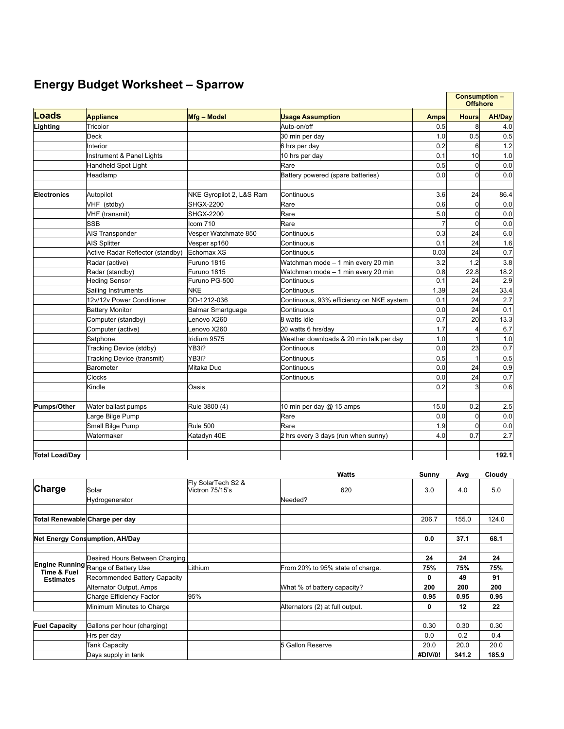## **Energy Budget Worksheet – Sparrow**

|                       |                                  |                          |                                          |             | <b>Consumption -</b><br><b>Offshore</b> |               |
|-----------------------|----------------------------------|--------------------------|------------------------------------------|-------------|-----------------------------------------|---------------|
| Loads                 | <b>Appliance</b>                 | Mfg - Model              | <b>Usage Assumption</b>                  | <b>Amps</b> | <b>Hours</b>                            | <b>AH/Day</b> |
| Lighting              | Tricolor                         |                          | Auto-on/off                              | 0.5         | 8                                       | 4.0           |
|                       | Deck                             |                          | 30 min per day                           | 1.0         | 0.5                                     | 0.5           |
|                       | Interior                         |                          | 6 hrs per day                            | 0.2         | 6                                       | 1.2           |
|                       | Instrument & Panel Lights        |                          | 10 hrs per day                           | 0.1         | 10                                      | 1.0           |
|                       | Handheld Spot Light              |                          | Rare                                     | 0.5         | 0                                       | 0.0           |
|                       | Headlamp                         |                          | Battery powered (spare batteries)        | 0.0         | $\Omega$                                | 0.0           |
| <b>Electronics</b>    | Autopilot                        | NKE Gyropilot 2, L&S Ram | Continuous                               | 3.6         | 24                                      | 86.4          |
|                       | VHF (stdby)                      | <b>SHGX-2200</b>         | Rare                                     | 0.6         | $\mathbf 0$                             | 0.0           |
|                       | VHF (transmit)                   | <b>SHGX-2200</b>         | Rare                                     | 5.0         | 0                                       | 0.0           |
|                       | lssb                             | Icom 710                 | Rare                                     |             | $\Omega$                                | 0.0           |
|                       | <b>AIS Transponder</b>           | Vesper Watchmate 850     | Continuous                               | 0.3         | 24                                      | 6.0           |
|                       | <b>AIS Splitter</b>              | Vesper sp160             | Continuous                               | 0.1         | 24                                      | 1.6           |
|                       | Active Radar Reflector (standby) | Echomax XS               | Continuous                               | 0.03        | 24                                      | 0.7           |
|                       | Radar (active)                   | Furuno 1815              | Watchman mode - 1 min every 20 min       | 3.2         | 1.2                                     | 3.8           |
|                       | Radar (standby)                  | Furuno 1815              | Watchman mode - 1 min every 20 min       | 0.8         | 22.8                                    | 18.2          |
|                       | <b>Heding Sensor</b>             | Furuno PG-500            | Continuous                               | 0.1         | 24                                      | 2.9           |
|                       | Sailing Instruments              | <b>NKE</b>               | Continuous                               | 1.39        | 24                                      | 33.4          |
|                       | 12v/12v Power Conditioner        | DD-1212-036              | Continuous, 93% efficiency on NKE system | 0.1         | 24                                      | 2.7           |
|                       | <b>Battery Monitor</b>           | Balmar Smartquage        | Continuous                               | 0.0         | 24                                      | 0.1           |
|                       | Computer (standby)               | Lenovo X260              | 8 watts idle                             | 0.7         | 20                                      | 13.3          |
|                       | Computer (active)                | Lenovo X260              | 20 watts 6 hrs/day                       | 1.7         | 4                                       | 6.7           |
|                       | Satphone                         | Iridium 9575             | Weather downloads & 20 min talk per day  | 1.0         |                                         | 1.0           |
|                       | Tracking Device (stdby)          | YB3i?                    | Continuous                               | 0.0         | 23                                      | 0.7           |
|                       | Tracking Device (transmit)       | YB3i?                    | Continuous                               | 0.5         |                                         | 0.5           |
|                       | <b>Barometer</b>                 | Mitaka Duo               | Continuous                               | 0.0         | 24                                      | 0.9           |
|                       | <b>Clocks</b>                    |                          | Continuous                               | 0.0         | 24                                      | 0.7           |
|                       | Kindle                           | Oasis                    |                                          | 0.2         | 3                                       | 0.6           |
| <b>Pumps/Other</b>    | Water ballast pumps              | Rule 3800 (4)            | 10 min per day @ 15 amps                 | 15.0        | 0.2                                     | 2.5           |
|                       | Large Bilge Pump                 |                          | Rare                                     | 0.0         | 0                                       | 0.0           |
|                       | Small Bilge Pump                 | Rule 500                 | Rare                                     | 1.9         | 0                                       | 0.0           |
|                       | Watermaker                       | Katadyn 40E              | 2 hrs every 3 days (run when sunny)      | 4.0         | 0.7                                     | 2.7           |
| <b>Total Load/Dav</b> |                                  |                          |                                          |             |                                         | 192.1         |

|                                 |                                       |                                       | <b>Watts</b>                     | Sunny   | Avg   | Cloudy |
|---------------------------------|---------------------------------------|---------------------------------------|----------------------------------|---------|-------|--------|
| Charge                          | Solar                                 | Fly SolarTech S2 &<br>Victron 75/15's | 620                              | 3.0     | 4.0   | 5.0    |
|                                 | Hydrogenerator                        |                                       | Needed?                          |         |       |        |
| Total Renewable Charge per day  |                                       |                                       |                                  | 206.7   | 155.0 | 124.0  |
|                                 | <b>Net Energy Consumption, AH/Day</b> |                                       |                                  | 0.0     | 37.1  | 68.1   |
|                                 | Desired Hours Between Charging        |                                       |                                  | 24      | 24    | 24     |
|                                 | Engine Running Range of Battery Use   | Lithium                               | From 20% to 95% state of charge. | 75%     | 75%   | 75%    |
| Time & Fuel<br><b>Estimates</b> | Recommended Battery Capacity          |                                       |                                  | 0       | 49    | 91     |
|                                 | Alternator Output, Amps               |                                       | What % of battery capacity?      | 200     | 200   | 200    |
|                                 | Charge Efficiency Factor              | 95%                                   |                                  | 0.95    | 0.95  | 0.95   |
|                                 | Minimum Minutes to Charge             |                                       | Alternators (2) at full output.  | 0       | 12    | 22     |
| <b>Fuel Capacity</b>            | Gallons per hour (charging)           |                                       |                                  | 0.30    | 0.30  | 0.30   |
|                                 | Hrs per day                           |                                       |                                  | 0.0     | 0.2   | 0.4    |
|                                 | Tank Capacity                         |                                       | 5 Gallon Reserve                 | 20.0    | 20.0  | 20.0   |
|                                 | Days supply in tank                   |                                       |                                  | #DIV/0! | 341.2 | 185.9  |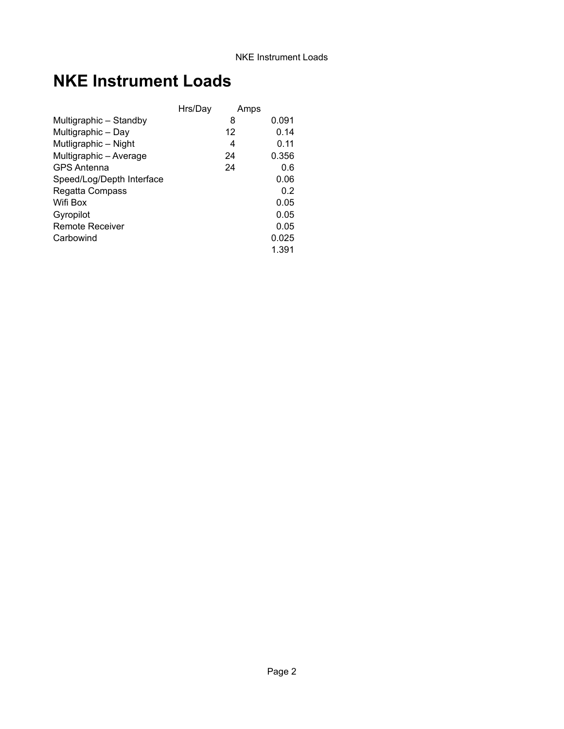## **NKE Instrument Loads**

|                           | Hrs/Day | Amps |       |
|---------------------------|---------|------|-------|
| Multigraphic - Standby    |         | 8    | 0.091 |
| Multigraphic - Day        |         | 12   | 0.14  |
| Mutligraphic - Night      |         | 4    | 0.11  |
| Multigraphic - Average    |         | 24   | 0.356 |
| <b>GPS Antenna</b>        |         | 24   | 0.6   |
| Speed/Log/Depth Interface |         |      | 0.06  |
| Regatta Compass           |         |      | 0.2   |
| Wifi Box                  |         |      | 0.05  |
| Gyropilot                 |         |      | 0.05  |
| Remote Receiver           |         |      | 0.05  |
| Carbowind                 |         |      | 0.025 |
|                           |         |      | 1.391 |